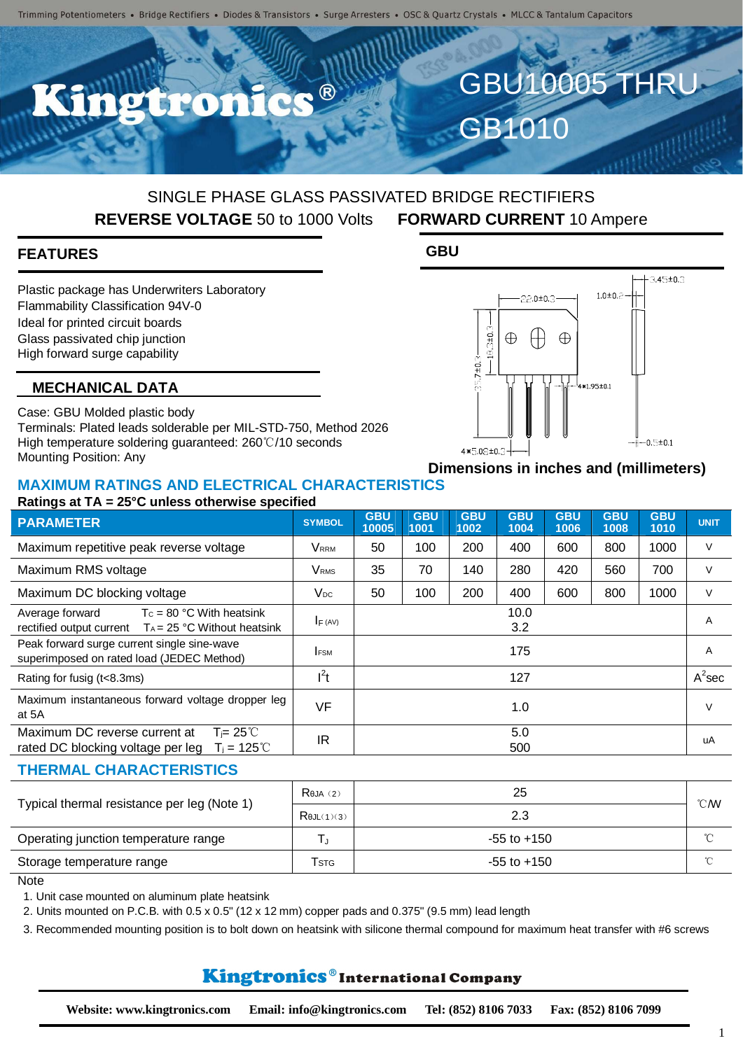$\bullet$   $\circledR$ 

## SINGLE PHASE GLASS PASSIVATED BRIDGE RECTIFIERS **REVERSE VOLTAGE** 50 to 1000 Volts **FORWARD CURRENT** 10 Ampere

**GBU**

## **FEATURES**

Plastic package has Underwriters Laboratory Flammability Classification 94V-0 Ideal for printed circuit boards Glass passivated chip junction High forward surge capability

#### **MECHANICAL DATA**

Case: GBU Molded plastic body Terminals: Plated leads solderable per MIL-STD-750, Method 2026 High temperature soldering guaranteed: 260℃/10 seconds Mounting Position: Any

## **Dimensions in inches and (millimeters)**

 $\oplus$ 

GBU10005 THRU

 $3.45 \pm 0.3$ 

 $-0.5 \pm 0.1$ 

 $1.0 \pm 0.2$ 

4\*1.95±0.1

GB1010

22.0±0.3

 $\bigoplus$ 

 $18.3 \pm 0.3$ 

 $7 ± 0.$ 

4\*5.08±0.3

 $\oplus$ 

#### **MAXIMUM RATINGS AND ELECTRICAL CHARACTERISTICS Ratings at TA = 25°C unless otherwise specified**

| <b>PARAMETER</b>                                                                                               | <b>SYMBOL</b>           | <b>GBU</b><br>10005 | <b>GBU</b><br>1001 | <b>GBU</b><br>1002 | <b>GBU</b><br>1004 | <b>GBU</b><br>1006 | <b>GBU</b><br>1008 | <b>GBU</b><br>1010 | <b>UNIT</b> |
|----------------------------------------------------------------------------------------------------------------|-------------------------|---------------------|--------------------|--------------------|--------------------|--------------------|--------------------|--------------------|-------------|
| Maximum repetitive peak reverse voltage                                                                        | <b>VRRM</b>             | 50                  | 100                | 200                | 400                | 600                | 800                | 1000               | $\vee$      |
| Maximum RMS voltage                                                                                            | <b>V</b> <sub>RMS</sub> | 35                  | 70                 | 140                | 280                | 420                | 560                | 700                | V           |
| Maximum DC blocking voltage                                                                                    | $V_{DC}$                | 50                  | 100                | 200                | 400                | 600                | 800                | 1000               | V           |
| Average forward<br>$T_c = 80 °C$ With heatsink<br>rectified output current $T_A = 25 °C$ Without heatsink      | $I_F (AV)$              | 10.0<br>3.2         |                    |                    |                    |                    |                    | A                  |             |
| Peak forward surge current single sine-wave<br>superimposed on rated load (JEDEC Method)                       | <b>FSM</b>              | 175                 |                    |                    |                    |                    |                    | $\overline{A}$     |             |
| Rating for fusig (t<8.3ms)                                                                                     | $l^2t$                  |                     |                    |                    | 127                |                    |                    |                    | $A^2$ sec   |
| Maximum instantaneous forward voltage dropper leg<br>at 5A                                                     | <b>VF</b>               |                     |                    |                    | 1.0                |                    |                    |                    | V           |
| Maximum DC reverse current at<br>$T = 25^{\circ}$<br>$T_i = 125^{\circ}C$<br>rated DC blocking voltage per leg | IR                      |                     |                    |                    | 5.0<br>500         |                    |                    |                    | uA          |
| <b>THERMAL CHARACTERISTICS</b>                                                                                 |                         |                     |                    |                    |                    |                    |                    |                    |             |

| Typical thermal resistance per leg (Note 1) | $R$ eja $(2)$           | 25              | ℃W     |
|---------------------------------------------|-------------------------|-----------------|--------|
|                                             | $R$ $(L(1)(3)$          | 2.3             |        |
| Operating junction temperature range        |                         | $-55$ to $+150$ | $\sim$ |
| Storage temperature range                   | <b>T</b> <sub>STG</sub> | $-55$ to $+150$ | $\sim$ |

#### **Note**

1. Unit case mounted on aluminum plate heatsink

2. Units mounted on P.C.B. with 0.5 x 0.5" (12 x 12 mm) copper pads and 0.375" (9.5 mm) lead length

3. Recommended mounting position is to bolt down on heatsink with silicone thermal compound for maximum heat transfer with #6 screws

## Kingtronics®International Company

1